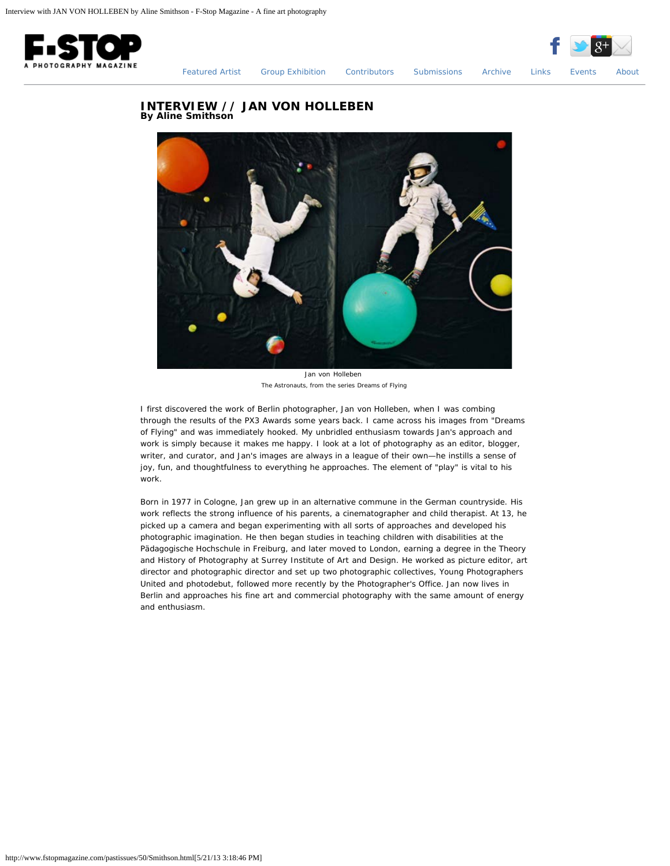



[Featured Artist](http://www.fstopmagazine.com/pastissues/50/featured.html) [Group Exhibition](http://www.fstopmagazine.com/pastissues/50/groupexhibition.html) [Contributors](http://www.fstopmagazine.com/pastissues/50/contributors.html) [Submissions](http://www.fstopmagazine.com/pastissues/50/submissions.html) [Archive](http://www.fstopmagazine.com/pastissues/50/archive.html) [Links](http://www.fstopmagazine.com/pastissues/50/links.html) [Events](http://www.fstopmagazine.com/blog/) [About](http://www.fstopmagazine.com/pastissues/50/about.html)

## **INTERVIEW // JAN VON HOLLEBEN By Aline Smithson**



Jan von Holleben *The Astronauts, from the series Dreams of Flying*

I first discovered the work of Berlin photographer, Jan von Holleben, when I was combing through the results of the PX3 Awards some years back. I came across his images from "Dreams of Flying" and was immediately hooked. My unbridled enthusiasm towards Jan's approach and work is simply because it makes me happy. I look at a lot of photography as an editor, blogger, writer, and curator, and Jan's images are always in a league of their own—he instills a sense of joy, fun, and thoughtfulness to everything he approaches. The element of "play" is vital to his work.

Born in 1977 in Cologne, Jan grew up in an alternative commune in the German countryside. His work reflects the strong influence of his parents, a cinematographer and child therapist. At 13, he picked up a camera and began experimenting with all sorts of approaches and developed his photographic imagination. He then began studies in teaching children with disabilities at the Pädagogische Hochschule in Freiburg, and later moved to London, earning a degree in the Theory and History of Photography at Surrey Institute of Art and Design. He worked as picture editor, art director and photographic director and set up two photographic collectives, Young Photographers United and photodebut, followed more recently by the Photographer's Office. Jan now lives in Berlin and approaches his fine art and commercial photography with the same amount of energy and enthusiasm.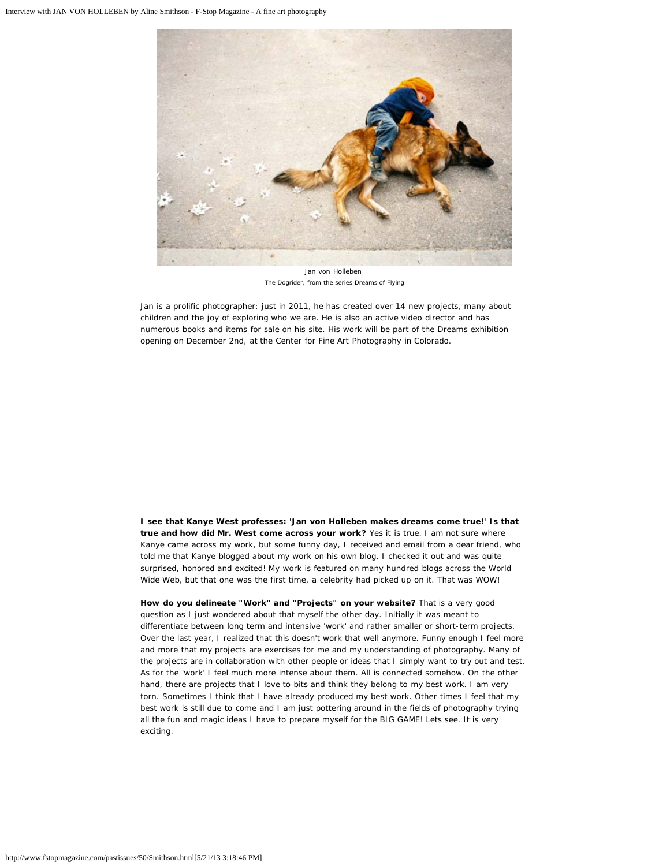

Jan von Holleben *The Dogrider, from the series Dreams of Flying*

Jan is a prolific photographer; just in 2011, he has created over 14 new projects, many about children and the joy of exploring who we are. He is also an active video director and has numerous books and items for sale on his site. His work will be part of the Dreams exhibition opening on December 2nd, at the Center for Fine Art Photography in Colorado.

**I see that Kanye West professes: 'Jan von Holleben makes dreams come true!' Is that true and how did Mr. West come across your work?** Yes it is true. I am not sure where Kanye came across my work, but some funny day, I received and email from a dear friend, who told me that Kanye blogged about my work on his own blog. I checked it out and was quite surprised, honored and excited! My work is featured on many hundred blogs across the World Wide Web, but that one was the first time, a celebrity had picked up on it. That was WOW!

**How do you delineate "Work" and "Projects" on your website?** That is a very good question as I just wondered about that myself the other day. Initially it was meant to differentiate between long term and intensive 'work' and rather smaller or short-term projects. Over the last year, I realized that this doesn't work that well anymore. Funny enough I feel more and more that my projects are exercises for me and my understanding of photography. Many of the projects are in collaboration with other people or ideas that I simply want to try out and test. As for the 'work' I feel much more intense about them. All is connected somehow. On the other hand, there are projects that I love to bits and think they belong to my best work. I am very torn. Sometimes I think that I have already produced my best work. Other times I feel that my best work is still due to come and I am just pottering around in the fields of photography trying all the fun and magic ideas I have to prepare myself for the BIG GAME! Lets see. It is very exciting.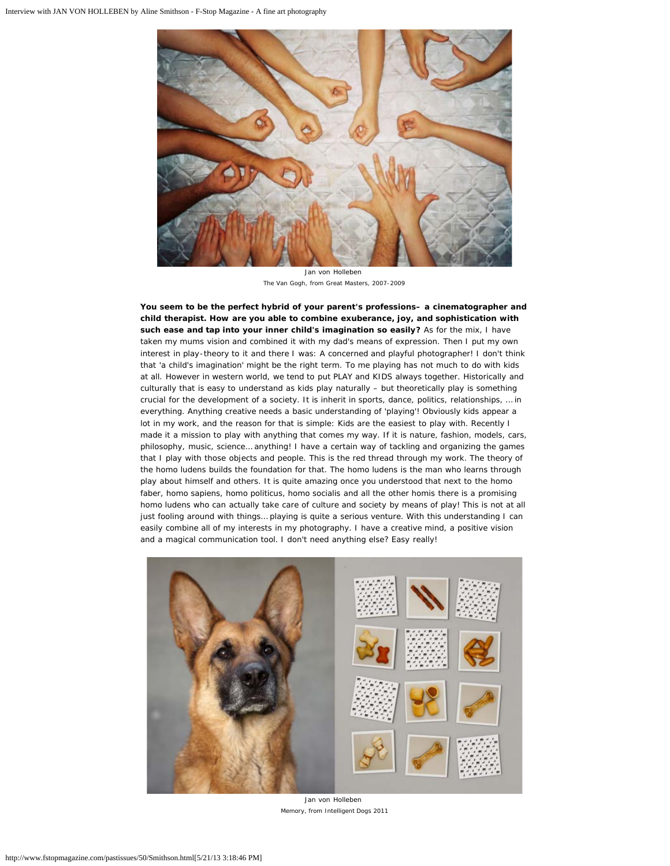

Jan von Holleben *The Van Gogh, from Great Masters, 2007-2009*

**You seem to be the perfect hybrid of your parent's professions– a cinematographer and child therapist. How are you able to combine exuberance, joy, and sophistication with such ease and tap into your inner child's imagination so easily?** As for the mix, I have taken my mums vision and combined it with my dad's means of expression. Then I put my own interest in play-theory to it and there I was: A concerned and playful photographer! I don't think that 'a child's imagination' might be the right term. To me playing has not much to do with kids at all. However in western world, we tend to put PLAY and KIDS always together. Historically and culturally that is easy to understand as kids play naturally – but theoretically play is something crucial for the development of a society. It is inherit in sports, dance, politics, relationships, … in everything. Anything creative needs a basic understanding of 'playing'! Obviously kids appear a lot in my work, and the reason for that is simple: Kids are the easiest to play with. Recently I made it a mission to play with anything that comes my way. If it is nature, fashion, models, cars, philosophy, music, science… anything! I have a certain way of tackling and organizing the games that I play with those objects and people. This is the red thread through my work. The theory of the homo ludens builds the foundation for that. The homo ludens is the man who learns through play about himself and others. It is quite amazing once you understood that next to the homo faber, homo sapiens, homo politicus, homo socialis and all the other homis there is a promising homo ludens who can actually take care of culture and society by means of play! This is not at all just fooling around with things… playing is quite a serious venture. With this understanding I can easily combine all of my interests in my photography. I have a creative mind, a positive vision and a magical communication tool. I don't need anything else? Easy really!



Jan von Holleben *Memory, from Intelligent Dogs 2011*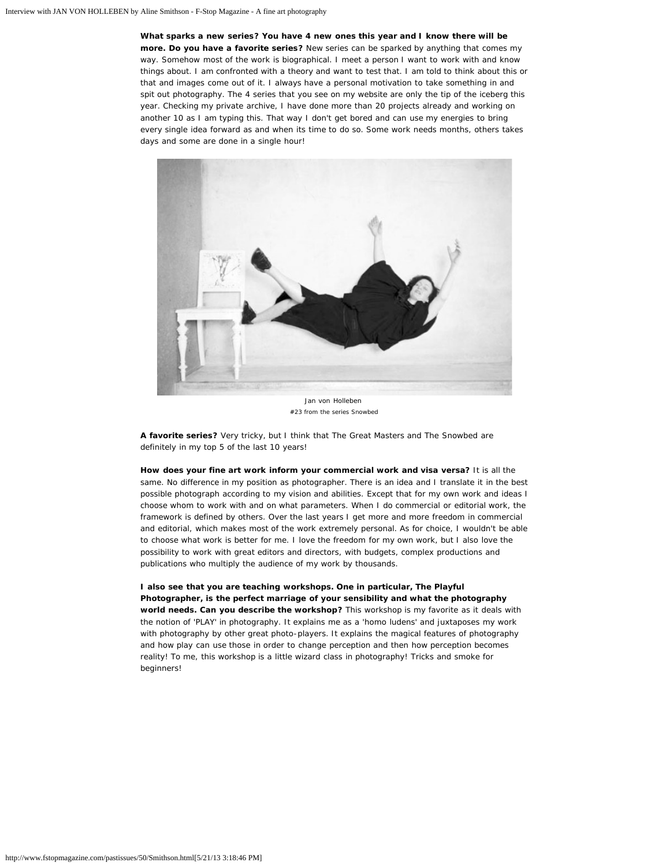**What sparks a new series? You have 4 new ones this year and I know there will be more. Do you have a favorite series?** New series can be sparked by anything that comes my way. Somehow most of the work is biographical. I meet a person I want to work with and know things about. I am confronted with a theory and want to test that. I am told to think about this or that and images come out of it. I always have a personal motivation to take something in and spit out photography. The 4 series that you see on my website are only the tip of the iceberg this year. Checking my private archive, I have done more than 20 projects already and working on another 10 as I am typing this. That way I don't get bored and can use my energies to bring every single idea forward as and when its time to do so. Some work needs months, others takes days and some are done in a single hour!



Jan von Holleben *#23 from the series Snowbed*

**A favorite series?** Very tricky, but I think that The Great Masters and The Snowbed are definitely in my top 5 of the last 10 years!

**How does your fine art work inform your commercial work and visa versa?** It is all the same. No difference in my position as photographer. There is an idea and I translate it in the best possible photograph according to my vision and abilities. Except that for my own work and ideas I choose whom to work with and on what parameters. When I do commercial or editorial work, the framework is defined by others. Over the last years I get more and more freedom in commercial and editorial, which makes most of the work extremely personal. As for choice, I wouldn't be able to choose what work is better for me. I love the freedom for my own work, but I also love the possibility to work with great editors and directors, with budgets, complex productions and publications who multiply the audience of my work by thousands.

**I also see that you are teaching workshops. One in particular, The Playful Photographer, is the perfect marriage of your sensibility and what the photography world needs. Can you describe the workshop?** This workshop is my favorite as it deals with the notion of 'PLAY' in photography. It explains me as a 'homo ludens' and juxtaposes my work with photography by other great photo-players. It explains the magical features of photography and how play can use those in order to change perception and then how perception becomes reality! To me, this workshop is a little wizard class in photography! Tricks and smoke for beginners!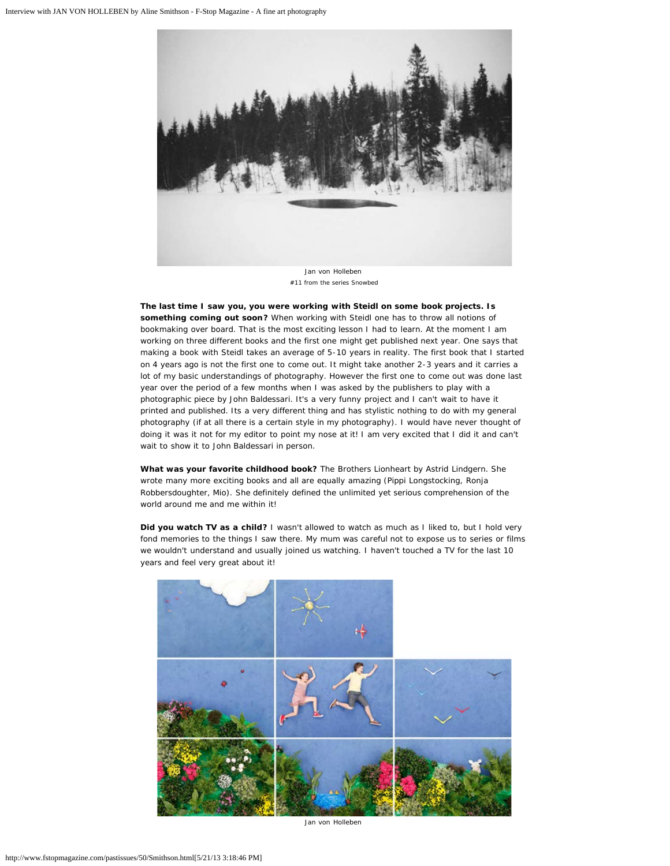

*#11 from the series Snowbed*

**The last time I saw you, you were working with Steidl on some book projects. Is something coming out soon?** When working with Steidl one has to throw all notions of bookmaking over board. That is the most exciting lesson I had to learn. At the moment I am working on three different books and the first one might get published next year. One says that making a book with Steidl takes an average of 5-10 years in reality. The first book that I started on 4 years ago is not the first one to come out. It might take another 2-3 years and it carries a lot of my basic understandings of photography. However the first one to come out was done last year over the period of a few months when I was asked by the publishers to play with a photographic piece by John Baldessari. It's a very funny project and I can't wait to have it printed and published. Its a very different thing and has stylistic nothing to do with my general photography (if at all there is a certain style in my photography). I would have never thought of doing it was it not for my editor to point my nose at it! I am very excited that I did it and can't wait to show it to John Baldessari in person.

**What was your favorite childhood book?** The Brothers Lionheart by Astrid Lindgern. She wrote many more exciting books and all are equally amazing (Pippi Longstocking, Ronja Robbersdoughter, Mio). She definitely defined the unlimited yet serious comprehension of the world around me and me within it!

**Did you watch TV as a child?** I wasn't allowed to watch as much as I liked to, but I hold very fond memories to the things I saw there. My mum was careful not to expose us to series or films we wouldn't understand and usually joined us watching. I haven't touched a TV for the last 10 years and feel very great about it!



Jan von Holleben